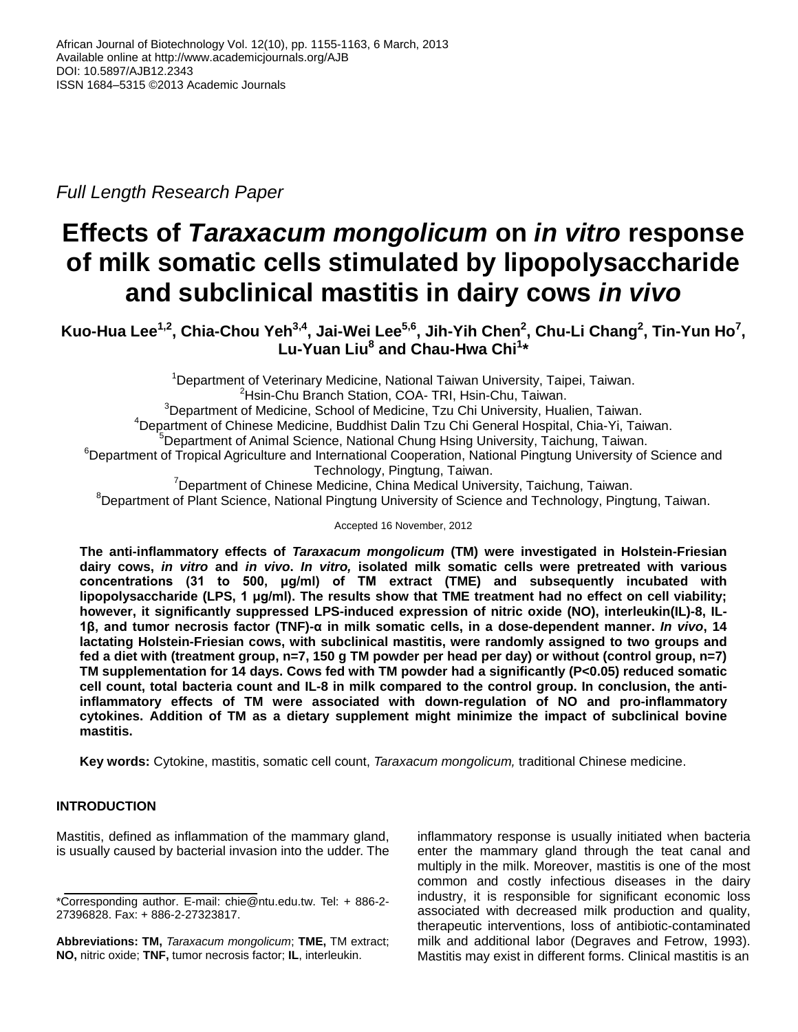*Full Length Research Paper*

# **Effects of** *Taraxacum mongolicum* **on** *in vitro* **response of milk somatic cells stimulated by lipopolysaccharide and subclinical mastitis in dairy cows** *in vivo*

**Kuo-Hua Lee1,2 , Chia-Chou Yeh3,4 , Jai-Wei Lee5,6 , Jih-Yih Chen<sup>2</sup> , Chu-Li Chang<sup>2</sup> , Tin-Yun Ho<sup>7</sup> , Lu-Yuan Liu<sup>8</sup> and Chau-Hwa Chi<sup>1</sup> \***

<sup>1</sup>Department of Veterinary Medicine, National Taiwan University, Taipei, Taiwan. <sup>2</sup>Hsin-Chu Branch Station, COA- TRI, Hsin-Chu, Taiwan. <sup>3</sup>Department of Medicine, School of Medicine, Tzu Chi University, Hualien, Taiwan. <sup>4</sup>Department of Chinese Medicine, Buddhist Dalin Tzu Chi General Hospital, Chia-Yi, Taiwan. <sup>5</sup>Department of Animal Science, National Chung Hsing University, Taichung, Taiwan. <sup>6</sup>Department of Tropical Agriculture and International Cooperation, National Pingtung University of Science and Technology, Pingtung, Taiwan. <sup>7</sup>Department of Chinese Medicine, China Medical University, Taichung, Taiwan.

<sup>8</sup>Department of Plant Science, National Pingtung University of Science and Technology, Pingtung, Taiwan.

Accepted 16 November, 2012

**The anti-inflammatory effects of** *Taraxacum mongolicum* **(TM) were investigated in Holstein-Friesian dairy cows,** *in vitro* **and** *in vivo***.** *In vitro,* **isolated milk somatic cells were pretreated with various concentrations (31 to 500, μg/ml) of TM extract (TME) and subsequently incubated with lipopolysaccharide (LPS, 1 μg/ml). The results show that TME treatment had no effect on cell viability; however, it significantly suppressed LPS-induced expression of nitric oxide (NO), interleukin(IL)-8, IL-1β, and tumor necrosis factor (TNF)-α in milk somatic cells, in a dose-dependent manner.** *In vivo***, 14 lactating Holstein-Friesian cows, with subclinical mastitis, were randomly assigned to two groups and fed a diet with (treatment group, n=7, 150 g TM powder per head per day) or without (control group, n=7) TM supplementation for 14 days. Cows fed with TM powder had a significantly (P<0.05) reduced somatic cell count, total bacteria count and IL-8 in milk compared to the control group. In conclusion, the antiinflammatory effects of TM were associated with down-regulation of NO and pro-inflammatory cytokines. Addition of TM as a dietary supplement might minimize the impact of subclinical bovine mastitis.** 

**Key words:** Cytokine, mastitis, somatic cell count, *Taraxacum mongolicum,* traditional Chinese medicine.

# **INTRODUCTION**

Mastitis, defined as inflammation of the mammary gland, is usually caused by bacterial invasion into the udder. The inflammatory response is usually initiated when bacteria enter the mammary gland through the teat canal and multiply in the milk. Moreover, mastitis is one of the most common and costly infectious diseases in the dairy industry, it is responsible for significant economic loss associated with decreased milk production and quality, therapeutic interventions, loss of antibiotic-contaminated milk and additional labor (Degraves and Fetrow, 1993). Mastitis may exist in different forms. Clinical mastitis is an

<sup>\*</sup>Corresponding author. E-mail: chie@ntu.edu.tw. Tel: + 886-2- 27396828. Fax: + 886-2-27323817.

**Abbreviations: TM,** *Taraxacum mongolicum*; **TME,** TM extract; **NO,** nitric oxide; **TNF,** tumor necrosis factor; **IL**, interleukin.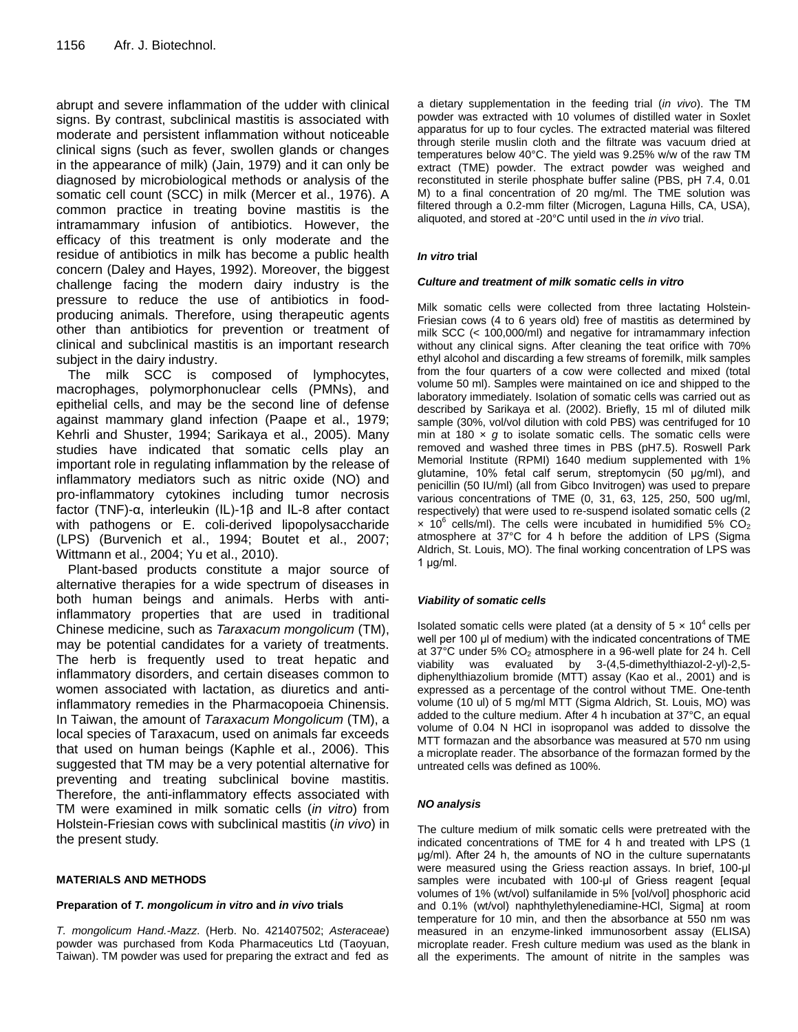abrupt and severe inflammation of the udder with clinical signs. By contrast, subclinical mastitis is associated with moderate and persistent inflammation without noticeable clinical signs (such as fever, swollen glands or changes in the appearance of milk) (Jain, 1979) and it can only be diagnosed by microbiological methods or analysis of the somatic cell count (SCC) in milk (Mercer et al., 1976). A common practice in treating bovine mastitis is the intramammary infusion of antibiotics. However, the efficacy of this treatment is only moderate and the residue of antibiotics in milk has become a public health concern (Daley and Hayes, 1992). Moreover, the biggest challenge facing the modern dairy industry is the pressure to reduce the use of antibiotics in foodproducing animals. Therefore, using therapeutic agents other than antibiotics for prevention or treatment of clinical and subclinical mastitis is an important research subject in the dairy industry.

The milk SCC is composed of lymphocytes, macrophages, polymorphonuclear cells (PMNs), and epithelial cells, and may be the second line of defense against mammary gland infection (Paape et al., 1979; Kehrli and Shuster, 1994; Sarikaya et al., 2005). Many studies have indicated that somatic cells play an important role in regulating inflammation by the release of inflammatory mediators such as nitric oxide (NO) and pro-inflammatory cytokines including tumor necrosis factor (TNF)-α, interleukin (IL)-1β and IL-8 after contact with pathogens or E. coli-derived lipopolysaccharide (LPS) (Burvenich et al., 1994; Boutet et al., 2007; Wittmann et al., 2004; Yu et al., 2010).

Plant-based products constitute a major source of alternative therapies for a wide spectrum of diseases in both human beings and animals. Herbs with antiinflammatory properties that are used in traditional Chinese medicine, such as *Taraxacum mongolicum* (TM), may be potential candidates for a variety of treatments. The herb is frequently used to treat hepatic and inflammatory disorders, and certain diseases common to women associated with lactation, as diuretics and antiinflammatory remedies in the Pharmacopoeia Chinensis. In Taiwan, the amount of *Taraxacum Mongolicum* (TM), a local species of Taraxacum, used on animals far exceeds that used on human beings (Kaphle et al., 2006). This suggested that TM may be a very potential alternative for preventing and treating subclinical bovine mastitis. Therefore, the anti-inflammatory effects associated with TM were examined in milk somatic cells (*in vitro*) from Holstein-Friesian cows with subclinical mastitis (*in vivo*) in the present study.

## **MATERIALS AND METHODS**

## **Preparation of** *T. mongolicum in vitro* **and** *in vivo* **trials**

*T. mongolicum Hand.-Mazz*. (Herb. No. 421407502; *Asteraceae*) powder was purchased from Koda Pharmaceutics Ltd (Taoyuan, Taiwan). TM powder was used for preparing the extract and fed as

a dietary supplementation in the feeding trial (*in vivo*). The TM powder was extracted with 10 volumes of distilled water in Soxlet apparatus for up to four cycles. The extracted material was filtered through sterile muslin cloth and the filtrate was vacuum dried at temperatures below 40°C. The yield was 9.25% w/w of the raw TM extract (TME) powder. The extract powder was weighed and reconstituted in sterile phosphate buffer saline (PBS, pH 7.4, 0.01 M) to a final concentration of 20 mg/ml. The TME solution was filtered through a 0.2-mm filter (Microgen, Laguna Hills, CA, USA), aliquoted, and stored at -20°C until used in the *in vivo* trial.

## *In vitro* **trial**

## *Culture and treatment of milk somatic cells in vitro*

Milk somatic cells were collected from three lactating Holstein-Friesian cows (4 to 6 years old) free of mastitis as determined by milk SCC (< 100,000/ml) and negative for intramammary infection without any clinical signs. After cleaning the teat orifice with 70% ethyl alcohol and discarding a few streams of foremilk, milk samples from the four quarters of a cow were collected and mixed (total volume 50 ml). Samples were maintained on ice and shipped to the laboratory immediately. Isolation of somatic cells was carried out as described by Sarikaya et al. (2002). Briefly, 15 ml of diluted milk sample (30%, vol/vol dilution with cold PBS) was centrifuged for 10 min at 180  $\times$  g to isolate somatic cells. The somatic cells were removed and washed three times in PBS (pH7.5). Roswell Park Memorial Institute (RPMI) 1640 medium supplemented with 1% glutamine, 10% fetal calf serum, streptomycin (50 μg/ml), and penicillin (50 IU/ml) (all from Gibco Invitrogen) was used to prepare various concentrations of TME (0, 31, 63, 125, 250, 500 ug/ml, respectively) that were used to re-suspend isolated somatic cells (2  $\times$  10<sup>6</sup> cells/ml). The cells were incubated in humidified 5% CO<sub>2</sub> atmosphere at 37°C for 4 h before the addition of LPS (Sigma Aldrich, St. Louis, MO). The final working concentration of LPS was 1 μg/ml.

## *Viability of somatic cells*

Isolated somatic cells were plated (at a density of  $5 \times 10^4$  cells per well per 100 μl of medium) with the indicated concentrations of TME at 37°C under 5% CO<sub>2</sub> atmosphere in a 96-well plate for 24 h. Cell viability was evaluated by 3-(4,5-dimethylthiazol-2-yl)-2,5 diphenylthiazolium bromide (MTT) assay (Kao et al., 2001) and is expressed as a percentage of the control without TME. One-tenth volume (10 ul) of 5 mg/ml MTT (Sigma Aldrich, St. Louis, MO) was added to the culture medium. After 4 h incubation at 37°C, an equal volume of 0.04 N HCl in isopropanol was added to dissolve the MTT formazan and the absorbance was measured at 570 nm using a microplate reader. The absorbance of the formazan formed by the untreated cells was defined as 100%.

## *NO analysis*

The culture medium of milk somatic cells were pretreated with the indicated concentrations of TME for 4 h and treated with LPS (1 μg/ml). After 24 h, the amounts of NO in the culture supernatants were measured using the Griess reaction assays. In brief, 100-μl samples were incubated with 100-ul of Griess reagent [equal volumes of 1% (wt/vol) sulfanilamide in 5% [vol/vol] phosphoric acid and 0.1% (wt/vol) naphthylethylenediamine-HCl, Sigma] at room temperature for 10 min, and then the absorbance at 550 nm was measured in an enzyme-linked immunosorbent assay (ELISA) microplate reader. Fresh culture medium was used as the blank in all the experiments. The amount of nitrite in the samples was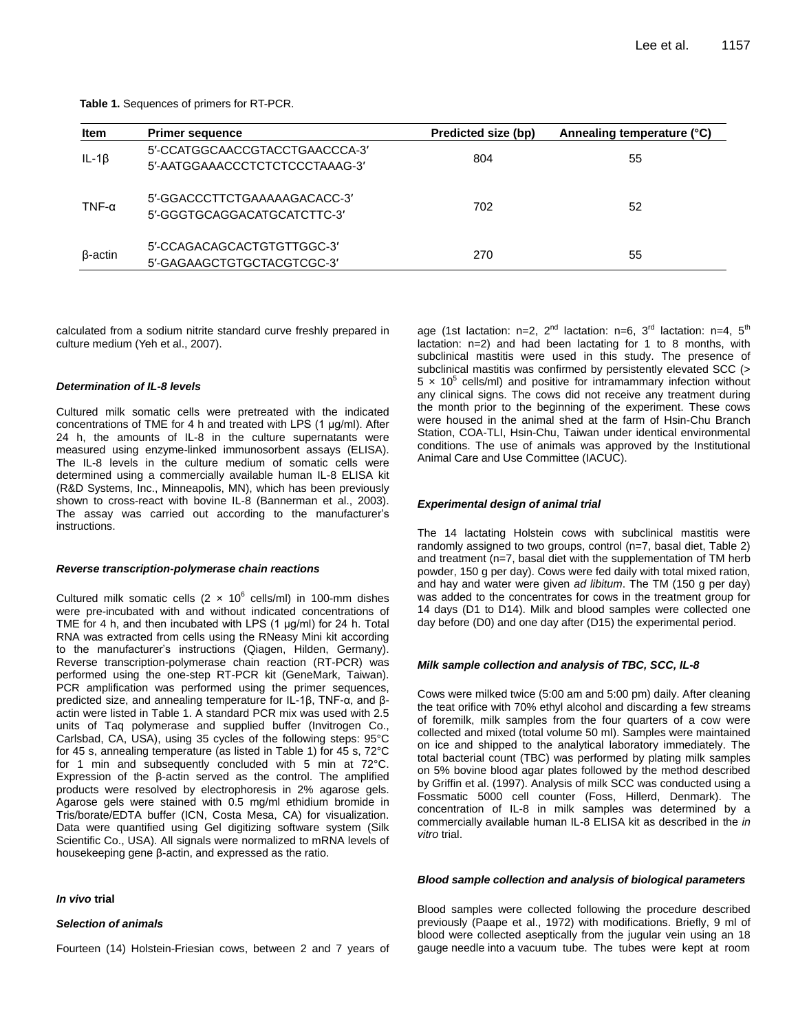**Table 1.** Sequences of primers for RT-PCR.

| <b>Item</b>    | <b>Primer sequence</b>                                           | Predicted size (bp) | Annealing temperature (°C) |
|----------------|------------------------------------------------------------------|---------------------|----------------------------|
| $IL-1\beta$    | 5'-CCATGGCAACCGTACCTGAACCCA-3'<br>5'-AATGGAAACCCTCTCTCCCTAAAG-3' | 804                 | 55                         |
| TNF- $\alpha$  | 5'-GGACCCTTCTGAAAAAGACACC-3'<br>5'-GGGTGCAGGACATGCATCTTC-3'      | 702                 | 52                         |
| $\beta$ -actin | 5'-CCAGACAGCACTGTGTTGGC-3'<br>5'-GAGAAGCTGTGCTACGTCGC-3'         | 270                 | 55                         |

calculated from a sodium nitrite standard curve freshly prepared in culture medium (Yeh et al., 2007).

### *Determination of IL-8 levels*

Cultured milk somatic cells were pretreated with the indicated concentrations of TME for 4 h and treated with LPS (1 μg/ml). After 24 h, the amounts of IL-8 in the culture supernatants were measured using enzyme-linked immunosorbent assays (ELISA). The IL-8 levels in the culture medium of somatic cells were determined using a commercially available human IL-8 ELISA kit (R&D Systems, Inc., Minneapolis, MN), which has been previously shown to cross-react with bovine IL-8 (Bannerman et al., 2003). The assay was carried out according to the manufacturer's instructions.

#### *Reverse transcription-polymerase chain reactions*

Cultured milk somatic cells  $(2 \times 10^6 \text{ cells/ml})$  in 100-mm dishes were pre-incubated with and without indicated concentrations of TME for 4 h, and then incubated with LPS (1 μg/ml) for 24 h. Total RNA was extracted from cells using the RNeasy Mini kit according to the manufacturer's instructions (Qiagen, Hilden, Germany). Reverse transcription-polymerase chain reaction (RT-PCR) was performed using the one-step RT-PCR kit (GeneMark, Taiwan). PCR amplification was performed using the primer sequences, predicted size, and annealing temperature for IL-1β, TNF-α, and βactin were listed in Table 1. A standard PCR mix was used with 2.5 units of Taq polymerase and supplied buffer (Invitrogen Co., Carlsbad, CA, USA), using 35 cycles of the following steps: 95°C for 45 s, annealing temperature (as listed in Table 1) for 45 s, 72°C for 1 min and subsequently concluded with 5 min at 72°C. Expression of the β-actin served as the control. The amplified products were resolved by electrophoresis in 2% agarose gels. Agarose gels were stained with 0.5 mg/ml ethidium bromide in Tris/borate/EDTA buffer (ICN, Costa Mesa, CA) for visualization. Data were quantified using Gel digitizing software system (Silk Scientific Co., USA). All signals were normalized to mRNA levels of housekeeping gene β-actin, and expressed as the ratio.

#### *In vivo* **trial**

#### *Selection of animals*

Fourteen (14) Holstein-Friesian cows, between 2 and 7 years of

age (1st lactation:  $n=2$ ,  $2^{nd}$  lactation:  $n=6$ ,  $3^{rd}$  lactation:  $n=4$ ,  $5^{th}$ lactation: n=2) and had been lactating for 1 to 8 months, with subclinical mastitis were used in this study. The presence of subclinical mastitis was confirmed by persistently elevated SCC (>  $5 \times 10^5$  cells/ml) and positive for intramammary infection without any clinical signs. The cows did not receive any treatment during the month prior to the beginning of the experiment. These cows were housed in the animal shed at the farm of Hsin-Chu Branch Station, COA-TLI, Hsin-Chu, Taiwan under identical environmental conditions. The use of animals was approved by the Institutional Animal Care and Use Committee (IACUC).

#### *Experimental design of animal trial*

The 14 lactating Holstein cows with subclinical mastitis were randomly assigned to two groups, control (n=7, basal diet, Table 2) and treatment (n=7, basal diet with the supplementation of TM herb powder, 150 g per day). Cows were fed daily with total mixed ration, and hay and water were given *ad libitum*. The TM (150 g per day) was added to the concentrates for cows in the treatment group for 14 days (D1 to D14). Milk and blood samples were collected one day before (D0) and one day after (D15) the experimental period.

#### *Milk sample collection and analysis of TBC, SCC, IL-8*

Cows were milked twice (5:00 am and 5:00 pm) daily. After cleaning the teat orifice with 70% ethyl alcohol and discarding a few streams of foremilk, milk samples from the four quarters of a cow were collected and mixed (total volume 50 ml). Samples were maintained on ice and shipped to the analytical laboratory immediately. The total bacterial count (TBC) was performed by plating milk samples on 5% bovine blood agar plates followed by the method described by Griffin et al. (1997). Analysis of milk SCC was conducted using a Fossmatic 5000 cell counter (Foss, Hillerd, Denmark). The concentration of IL-8 in milk samples was determined by a commercially available human IL-8 ELISA kit as described in the *in vitro* trial.

#### *Blood sample collection and analysis of biological parameters*

Blood samples were collected following the procedure described previously (Paape et al., 1972) with modifications. Briefly, 9 ml of blood were collected aseptically from the jugular vein using an 18 gauge needle into a vacuum tube. The tubes were kept at room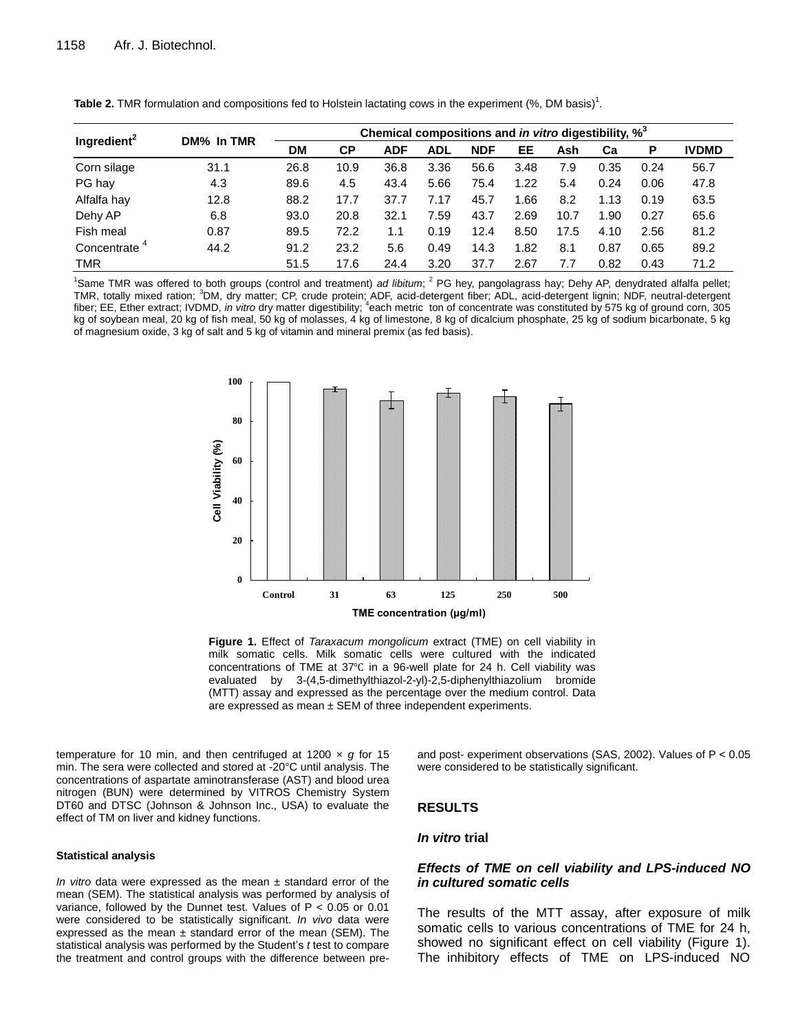|                          | DM% In TMR | Chemical compositions and in vitro digestibility, % <sup>3</sup> |      |            |            |            |      |      |      |      |              |
|--------------------------|------------|------------------------------------------------------------------|------|------------|------------|------------|------|------|------|------|--------------|
| Ingredient <sup>2</sup>  |            | <b>DM</b>                                                        | СP   | <b>ADF</b> | <b>ADL</b> | <b>NDF</b> | EE   | Ash  | Cа   | Р    | <b>IVDMD</b> |
| Corn silage              | 31.1       | 26.8                                                             | 10.9 | 36.8       | 3.36       | 56.6       | 3.48 | 7.9  | 0.35 | 0.24 | 56.7         |
| PG hay                   | 4.3        | 89.6                                                             | 4.5  | 43.4       | 5.66       | 75.4       | 1.22 | 5.4  | 0.24 | 0.06 | 47.8         |
| Alfalfa hay              | 12.8       | 88.2                                                             | 17.7 | 37.7       | 7.17       | 45.7       | 1.66 | 8.2  | 1.13 | 0.19 | 63.5         |
| Dehy AP                  | 6.8        | 93.0                                                             | 20.8 | 32.1       | 7.59       | 43.7       | 2.69 | 10.7 | 1.90 | 0.27 | 65.6         |
| Fish meal                | 0.87       | 89.5                                                             | 72.2 | 1.1        | 0.19       | 12.4       | 8.50 | 17.5 | 4.10 | 2.56 | 81.2         |
| Concentrate <sup>4</sup> | 44.2       | 91.2                                                             | 23.2 | 5.6        | 0.49       | 14.3       | 1.82 | 8.1  | 0.87 | 0.65 | 89.2         |
| <b>TMR</b>               |            | 51.5                                                             | 17.6 | 24.4       | 3.20       | 37.7       | 2.67 | 7.7  | 0.82 | 0.43 | 71.2         |

Table 2. TMR formulation and compositions fed to Holstein lactating cows in the experiment (%, DM basis)<sup>1</sup>.

<sup>1</sup>Same TMR was offered to both groups (control and treatment) *ad libitum*; <sup>2</sup> PG hey, pangolagrass hay; Dehy AP, denydrated alfalfa pellet; TMR, totally mixed ration; <sup>3</sup>DM, dry matter; CP, crude protein; ADF, acid-detergent fiber; ADL, acid-detergent lignin; NDF, neutral-detergent fiber; EE, Ether extract; IVDMD, *in vitro* dry matter digestibility; <sup>4</sup>each metric ton of concentrate was constituted by 575 kg of ground corn, 305 kg of soybean meal, 20 kg of fish meal, 50 kg of molasses, 4 kg of limestone, 8 kg of dicalcium phosphate, 25 kg of sodium bicarbonate, 5 kg of magnesium oxide, 3 kg of salt and 5 kg of vitamin and mineral premix (as fed basis).



**Figure 1.** Effect of *Taraxacum mongolicum* extract (TME) on cell viability in milk somatic cells. Milk somatic cells were cultured with the indicated concentrations of TME at 37℃ in a 96-well plate for 24 h. Cell viability was evaluated by 3-(4,5-dimethylthiazol-2-yl)-2,5-diphenylthiazolium bromide (MTT) assay and expressed as the percentage over the medium control. Data are expressed as mean  $\pm$  SEM of three independent experiments.

temperature for 10 min, and then centrifuged at 1200 × *g* for 15 min. The sera were collected and stored at -20°C until analysis. The concentrations of aspartate aminotransferase (AST) and blood urea nitrogen (BUN) were determined by VITROS Chemistry System DT60 and DTSC (Johnson & Johnson Inc., USA) to evaluate the effect of TM on liver and kidney functions.

#### **Statistical analysis**

*In vitro* data were expressed as the mean ± standard error of the mean (SEM). The statistical analysis was performed by analysis of variance, followed by the Dunnet test. Values of P < 0.05 or 0.01 were considered to be statistically significant. *In vivo* data were expressed as the mean  $\pm$  standard error of the mean (SEM). The statistical analysis was performed by the Student's *t* test to compare the treatment and control groups with the difference between preand post- experiment observations (SAS, 2002). Values of P < 0.05 were considered to be statistically significant.

## **RESULTS**

## *In vitro* **trial**

## *Effects of TME on cell viability and LPS-induced NO in cultured somatic cells*

The results of the MTT assay, after exposure of milk somatic cells to various concentrations of TME for 24 h, showed no significant effect on cell viability (Figure 1). The inhibitory effects of TME on LPS-induced NO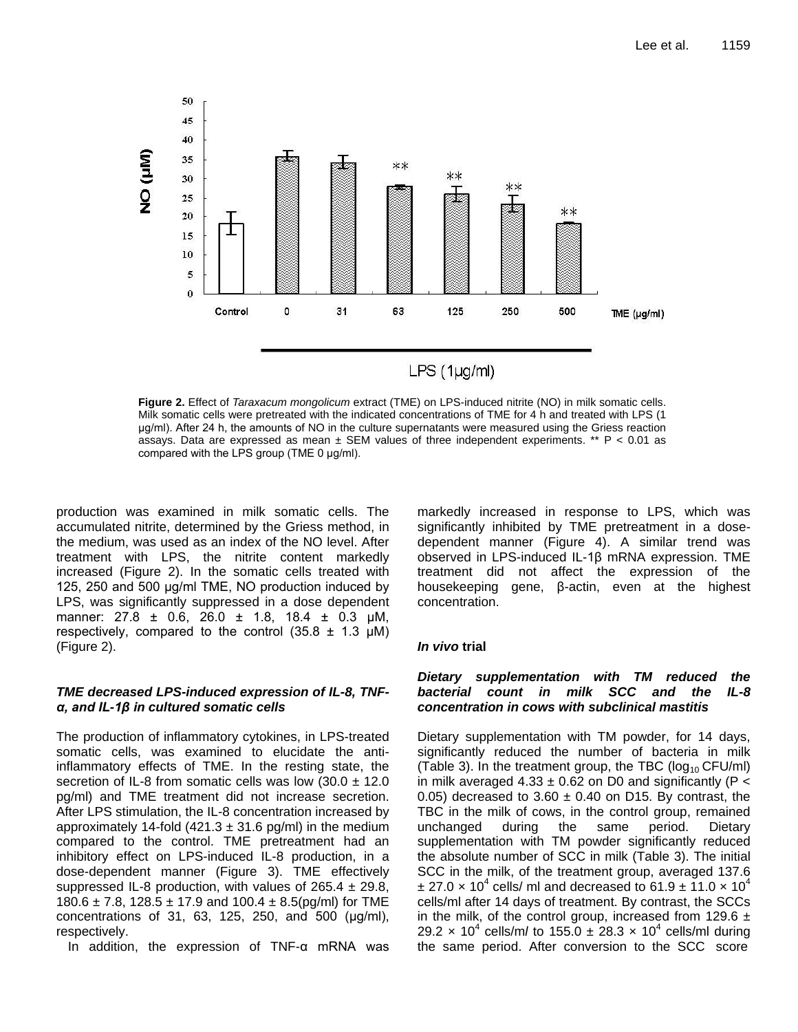

**Figure 2.** Effect of *Taraxacum mongolicum* extract (TME) on LPS-induced nitrite (NO) in milk somatic cells. Milk somatic cells were pretreated with the indicated concentrations of TME for 4 h and treated with LPS (1 μg/ml). After 24 h, the amounts of NO in the culture supernatants were measured using the Griess reaction assays. Data are expressed as mean  $\pm$  SEM values of three independent experiments. \*\* P < 0.01 as compared with the LPS group (TME 0 μg/ml).

production was examined in milk somatic cells. The accumulated nitrite, determined by the Griess method, in the medium, was used as an index of the NO level. After treatment with LPS, the nitrite content markedly increased (Figure 2). In the somatic cells treated with 125, 250 and 500 μg/ml TME, NO production induced by LPS, was significantly suppressed in a dose dependent manner: 27.8 ± 0.6, 26.0 ± 1.8, 18.4 ± 0.3 μM, respectively, compared to the control  $(35.8 \pm 1.3 \mu M)$ (Figure 2).

## *TME decreased LPS-induced expression of IL-8, TNFα, and IL-1β in cultured somatic cells*

The production of inflammatory cytokines, in LPS-treated somatic cells, was examined to elucidate the antiinflammatory effects of TME. In the resting state, the secretion of IL-8 from somatic cells was low  $(30.0 \pm 12.0$ pg/ml) and TME treatment did not increase secretion. After LPS stimulation, the IL-8 concentration increased by approximately 14-fold  $(421.3 \pm 31.6 \text{ pg/ml})$  in the medium compared to the control. TME pretreatment had an inhibitory effect on LPS-induced IL-8 production, in a dose-dependent manner (Figure 3). TME effectively suppressed IL-8 production, with values of  $265.4 \pm 29.8$ , 180.6  $\pm$  7.8, 128.5  $\pm$  17.9 and 100.4  $\pm$  8.5(pg/ml) for TME concentrations of 31, 63, 125, 250, and 500 (μg/ml), respectively.

In addition, the expression of TNF-α mRNA was

markedly increased in response to LPS, which was significantly inhibited by TME pretreatment in a dosedependent manner (Figure 4). A similar trend was observed in LPS-induced IL-1β mRNA expression. TME treatment did not affect the expression of the housekeeping gene, β-actin, even at the highest concentration.

## *In vivo* **trial**

## *Dietary supplementation with TM reduced the bacterial count in milk SCC and the IL-8 concentration in cows with subclinical mastitis*

Dietary supplementation with TM powder, for 14 days, significantly reduced the number of bacteria in milk (Table 3). In the treatment group, the TBC ( $log_{10}$  CFU/ml) in milk averaged 4.33  $\pm$  0.62 on D0 and significantly (P < 0.05) decreased to 3.60  $\pm$  0.40 on D15. By contrast, the TBC in the milk of cows, in the control group, remained unchanged during the same period. Dietary supplementation with TM powder significantly reduced the absolute number of SCC in milk (Table 3). The initial SCC in the milk, of the treatment group, averaged 137.6  $\pm$  27.0 x 10<sup>4</sup> cells/ ml and decreased to 61.9  $\pm$  11.0 x 10<sup>4</sup> cells/ml after 14 days of treatment. By contrast, the SCCs in the milk, of the control group, increased from 129.6  $\pm$ 29.2 x 10<sup>4</sup> cells/m/ to 155.0  $\pm$  28.3 x 10<sup>4</sup> cells/ml during the same period. After conversion to the SCC score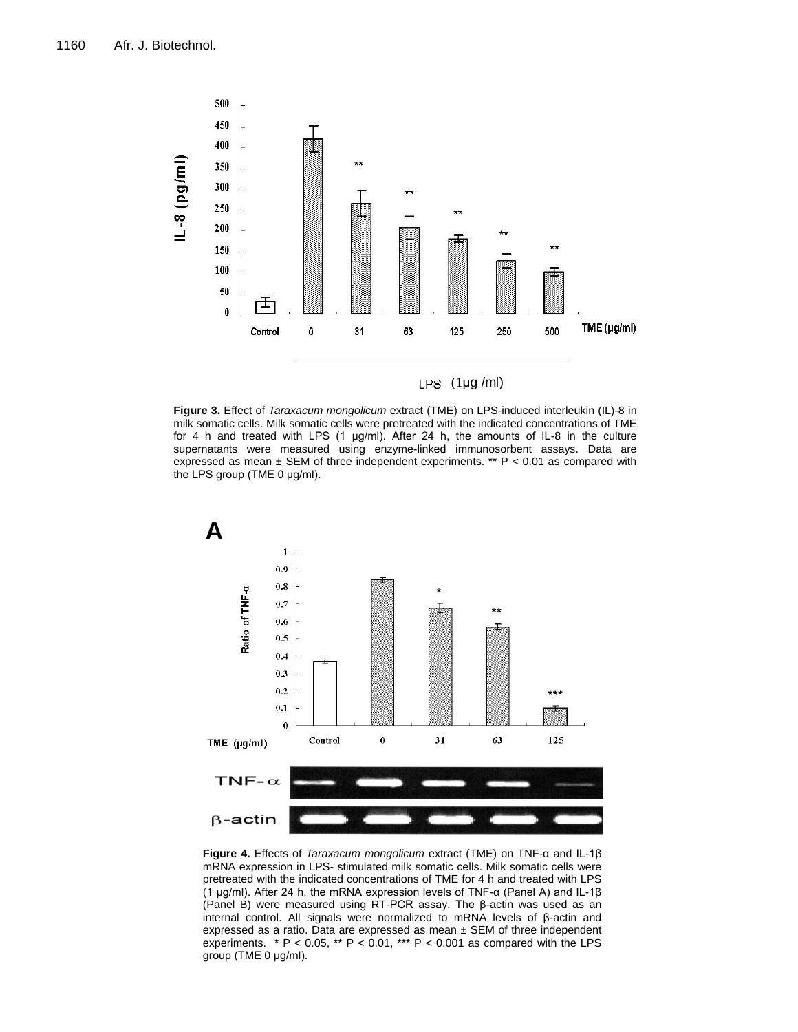

 $LPS$  (1µg/ml)

**Figure 3.** Effect of *Taraxacum mongolicum* extract (TME) on LPS-induced interleukin (IL)-8 in milk somatic cells. Milk somatic cells were pretreated with the indicated concentrations of TME for 4 h and treated with LPS  $(1 \mu g/ml)$ . After 24 h, the amounts of IL-8 in the culture supernatants were measured using enzyme-linked immunosorbent assays. Data are expressed as mean  $\pm$  SEM of three independent experiments. \*\* P < 0.01 as compared with the LPS group (TME 0 μg/ml).



**Figure 4.** Effects of *Taraxacum mongolicum* extract (TME) on TNF-α and IL-1β mRNA expression in LPS- stimulated milk somatic cells. Milk somatic cells were pretreated with the indicated concentrations of TME for 4 h and treated with LPS (1 μg/ml). After 24 h, the mRNA expression levels of TNF-α (Panel A) and IL-1β (Panel B) were measured using RT-PCR assay. The β-actin was used as an internal control. All signals were normalized to mRNA levels of β-actin and expressed as a ratio. Data are expressed as mean  $\pm$  SEM of three independent experiments.  $* P < 0.05$ ,  $* P < 0.01$ ,  $** P < 0.001$  as compared with the LPS group (TME 0 μg/ml).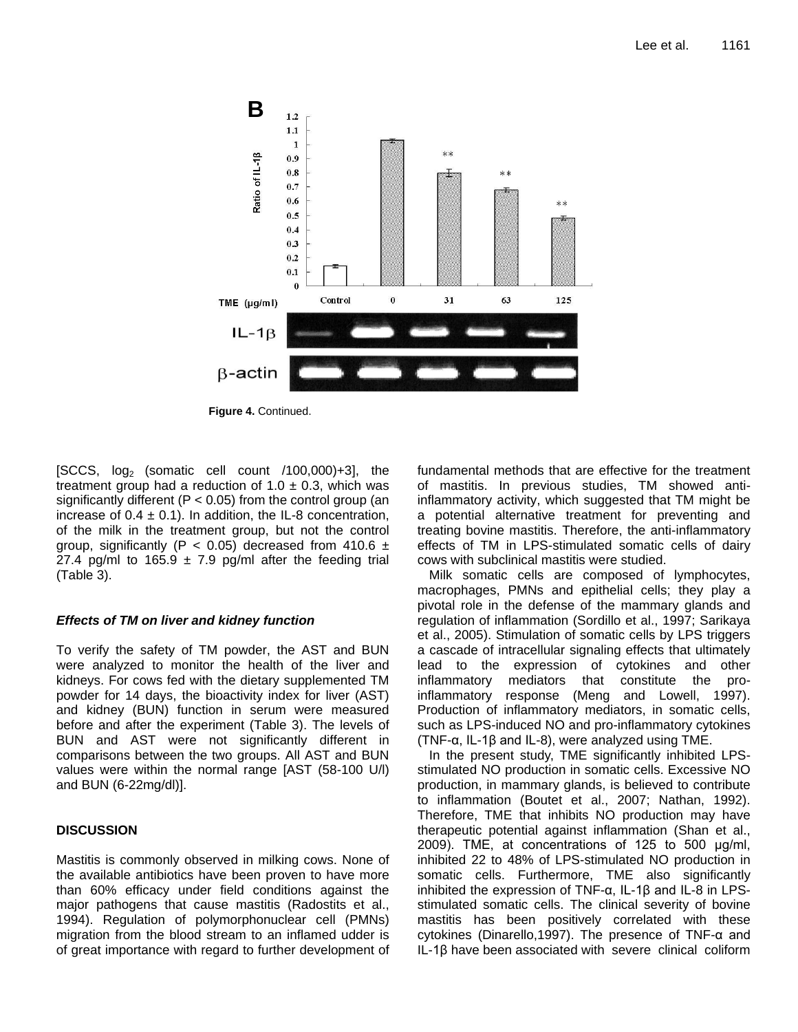

**Figure 4.** Continued.

 $[SCCS, log<sub>2</sub> (sonatic cell count /100,000)+3]$ , the treatment group had a reduction of  $1.0 \pm 0.3$ , which was significantly different ( $P < 0.05$ ) from the control group (an increase of  $0.4 \pm 0.1$ ). In addition, the IL-8 concentration, of the milk in the treatment group, but not the control group, significantly (P < 0.05) decreased from 410.6  $\pm$ 27.4 pg/ml to 165.9  $\pm$  7.9 pg/ml after the feeding trial (Table 3).

# *Effects of TM on liver and kidney function*

To verify the safety of TM powder, the AST and BUN were analyzed to monitor the health of the liver and kidneys. For cows fed with the dietary supplemented TM powder for 14 days, the bioactivity index for liver (AST) and kidney (BUN) function in serum were measured before and after the experiment (Table 3). The levels of BUN and AST were not significantly different in comparisons between the two groups. All AST and BUN values were within the normal range [AST (58-100 U/l) and BUN (6-22mg/dl)].

# **DISCUSSION**

Mastitis is commonly observed in milking cows. None of the available antibiotics have been proven to have more than 60% efficacy under field conditions against the major pathogens that cause mastitis (Radostits et al., 1994). Regulation of polymorphonuclear cell (PMNs) migration from the blood stream to an inflamed udder is of great importance with regard to further development of fundamental methods that are effective for the treatment of mastitis. In previous studies, TM showed antiinflammatory activity, which suggested that TM might be a potential alternative treatment for preventing and treating bovine mastitis. Therefore, the anti-inflammatory effects of TM in LPS-stimulated somatic cells of dairy cows with subclinical mastitis were studied.

Milk somatic cells are composed of lymphocytes, macrophages, PMNs and epithelial cells; they play a pivotal role in the defense of the mammary glands and regulation of inflammation (Sordillo et al., 1997; Sarikaya et al., 2005). Stimulation of somatic cells by LPS triggers a cascade of intracellular signaling effects that ultimately lead to the expression of cytokines and other inflammatory mediators that constitute the proinflammatory response (Meng and Lowell, 1997). Production of inflammatory mediators, in somatic cells, such as LPS-induced NO and pro-inflammatory cytokines (TNF-α, IL-1β and IL-8), were analyzed using TME.

In the present study, TME significantly inhibited LPSstimulated NO production in somatic cells. Excessive NO production, in mammary glands, is believed to contribute to inflammation (Boutet et al., 2007; Nathan, 1992). Therefore, TME that inhibits NO production may have therapeutic potential against inflammation (Shan et al., 2009). TME, at concentrations of 125 to 500 μg/ml, inhibited 22 to 48% of LPS-stimulated NO production in somatic cells. Furthermore, TME also significantly inhibited the expression of TNF-α, IL-1β and IL-8 in LPSstimulated somatic cells. The clinical severity of bovine mastitis has been positively correlated with these cytokines (Dinarello,1997). The presence of TNF-α and IL-1β have been associated with severe clinical coliform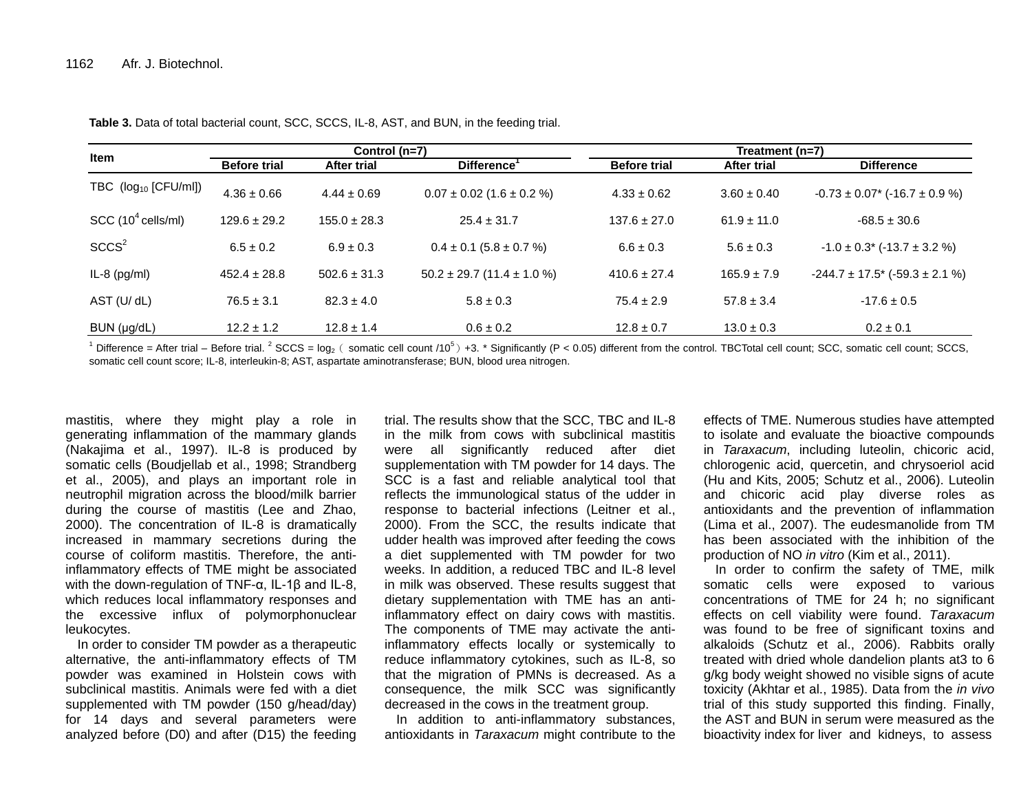|                                |                     | Control (n=7)    |                                    | Treatment (n=7)                  |                 |                                          |  |  |
|--------------------------------|---------------------|------------------|------------------------------------|----------------------------------|-----------------|------------------------------------------|--|--|
| <b>Item</b>                    | <b>Before trial</b> | After trial      | Difference <sup>1</sup>            | <b>Before trial</b>              | After trial     | <b>Difference</b>                        |  |  |
| TBC $(log_{10}$ [CFU/ml])      | $4.36 \pm 0.66$     | $4.44 \pm 0.69$  | $0.07 \pm 0.02$ (1.6 $\pm$ 0.2 %)  | $4.33 \pm 0.62$                  | $3.60 \pm 0.40$ | $-0.73 \pm 0.07$ * (-16.7 $\pm$ 0.9 %)   |  |  |
| SCC (10 <sup>4</sup> cells/ml) | $129.6 \pm 29.2$    | $155.0 \pm 28.3$ | $25.4 \pm 31.7$                    | $137.6 \pm 27.0$                 | $61.9 \pm 11.0$ | $-68.5 \pm 30.6$                         |  |  |
| SCCS <sup>2</sup>              | $6.5 \pm 0.2$       | $6.9 \pm 0.3$    | $0.4 \pm 0.1$ (5.8 $\pm$ 0.7 %)    | $6.6 \pm 0.3$                    | $5.6 \pm 0.3$   | $-1.0 \pm 0.3$ * (-13.7 $\pm$ 3.2 %)     |  |  |
| $IL-8$ (pg/ml)                 | $452.4 \pm 28.8$    | $502.6 \pm 31.3$ | $50.2 \pm 29.7$ (11.4 $\pm$ 1.0 %) | $410.6 \pm 27.4$                 | $165.9 \pm 7.9$ | $-244.7 \pm 17.5$ * ( $-59.3 \pm 2.1$ %) |  |  |
| AST (U/ dL)                    | $76.5 \pm 3.1$      | $82.3 \pm 4.0$   | $5.8 \pm 0.3$                      | $75.4 \pm 2.9$<br>$57.8 \pm 3.4$ |                 | $-17.6 \pm 0.5$                          |  |  |
| BUN (µg/dL)                    | $12.2 \pm 1.2$      | $12.8 \pm 1.4$   | $0.6 \pm 0.2$                      | $12.8 \pm 0.7$                   | $13.0 \pm 0.3$  | $0.2 \pm 0.1$                            |  |  |

**Table 3.** Data of total bacterial count, SCC, SCCS, IL-8, AST, and BUN, in the feeding trial.

<sup>1</sup> Difference = After trial – Before trial. <sup>2</sup> SCCS = log<sub>2</sub> ( somatic cell count /10<sup>5</sup>) +3. \* Significantly (P < 0.05) different from the control. TBCTotal cell count; SCC, somatic cell count; SCCS, somatic cell count score; IL-8, interleukin-8; AST, aspartate aminotransferase; BUN, blood urea nitrogen.

mastitis, where they might play a role in generating inflammation of the mammary glands (Nakajima et al., 1997). IL-8 is produced by somatic cells (Boudjellab et al., 1998; Strandberg et al., 2005), and plays an important role in neutrophil migration across the blood/milk barrier during the course of mastitis (Lee and Zhao, 2000). The concentration of IL-8 is dramatically increased in mammary secretions during the course of coliform mastitis. Therefore, the antiinflammatory effects of TME might be associated with the down-regulation of TNF-α, IL-1β and IL-8, which reduces local inflammatory responses and the excessive influx of polymorphonuclear leukocytes.

In order to consider TM powder as a therapeutic alternative, the anti-inflammatory effects of TM powder was examined in Holstein cows with subclinical mastitis. Animals were fed with a diet supplemented with TM powder (150 g/head/day) for 14 days and several parameters were analyzed before (D0) and after (D15) the feeding

trial. The results show that the SCC, TBC and IL-8 in the milk from cows with subclinical mastitis were all significantly reduced after diet supplementation with TM powder for 14 days. The SCC is a fast and reliable analytical tool that reflects the immunological status of the udder in response to bacterial infections (Leitner et al., 2000). From the SCC, the results indicate that udder health was improved after feeding the cows a diet supplemented with TM powder for two weeks. In addition, a reduced TBC and IL-8 level in milk was observed. These results suggest that dietary supplementation with TME has an antiinflammatory effect on dairy cows with mastitis. The components of TME may activate the antiinflammatory effects locally or systemically to reduce inflammatory cytokines, such as IL-8, so that the migration of PMNs is decreased. As a consequence, the milk SCC was significantly decreased in the cows in the treatment group.

In addition to anti-inflammatory substances, antioxidants in *Taraxacum* might contribute to the

effects of TME. Numerous studies have attempted to isolate and evaluate the bioactive compounds in *Taraxacum*, including luteolin, chicoric acid, chlorogenic acid, quercetin, and chrysoeriol acid (Hu and Kits, 2005; Schutz et al., 2006). Luteolin and chicoric acid play diverse roles as antioxidants and the prevention of inflammation (Lima et al., 2007). The eudesmanolide from TM has been associated with the inhibition of the production of NO *in vitro* (Kim et al., 2011).

In order to confirm the safety of TME, milk somatic cells were exposed to various concentrations of TME for 24 h; no significant effects on cell viability were found. *Taraxacum* was found to be free of significant toxins and alkaloids (Schutz et al., 2006). Rabbits orally treated with dried whole dandelion plants at3 to 6 g/kg body weight showed no visible signs of acute toxicity (Akhtar et al., 1985). Data from the *in vivo* trial of this study supported this finding. Finally, the AST and BUN in serum were measured as the bioactivity index for liver and kidneys, to assess